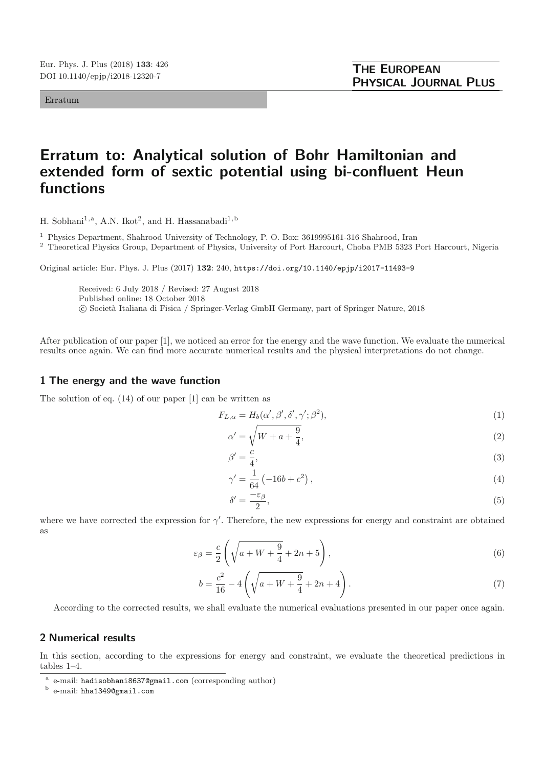Erratum

## **Erratum to: Analytical solution of Bohr Hamiltonian and extended form of sextic potential using bi-confluent Heun functions**

H. Sobhani<sup>1,a</sup>, A.N. Ikot<sup>2</sup>, and H. Hassanabadi<sup>1,b</sup>

<sup>1</sup> Physics Department, Shahrood University of Technology, P. O. Box: 3619995161-316 Shahrood, Iran

<sup>2</sup> Theoretical Physics Group, Department of Physics, University of Port Harcourt, Choba PMB 5323 Port Harcourt, Nigeria

Original article: Eur. Phys. J. Plus (2017) **132**: 240, https://doi.org/10.1140/epjp/i2017-11493-9

Received: 6 July 2018 / Revised: 27 August 2018 Published online: 18 October 2018

© Società Italiana di Fisica / Springer-Verlag GmbH Germany, part of Springer Nature, 2018

After publication of our paper [1], we noticed an error for the energy and the wave function. We evaluate the numerical results once again. We can find more accurate numerical results and the physical interpretations do not change.

## **1 The energy and the wave function**

The solution of eq. (14) of our paper [1] can be written as

$$
F_{L,\alpha} = H_b(\alpha', \beta', \delta', \gamma'; \beta^2),\tag{1}
$$

$$
\alpha' = \sqrt{W + a + \frac{9}{4}},\tag{2}
$$

$$
\beta' = \frac{c}{4},\tag{3}
$$

$$
\gamma' = \frac{1}{64} \left( -16b + c^2 \right),\tag{4}
$$

$$
\delta' = \frac{-\varepsilon_{\beta}}{2},\tag{5}
$$

where we have corrected the expression for  $\gamma'$ . Therefore, the new expressions for energy and constraint are obtained as

$$
\varepsilon_{\beta} = \frac{c}{2} \left( \sqrt{a + W + \frac{9}{4}} + 2n + 5 \right),\tag{6}
$$

$$
b = \frac{c^2}{16} - 4\left(\sqrt{a+W + \frac{9}{4}} + 2n + 4\right).
$$
\n(7)

According to the corrected results, we shall evaluate the numerical evaluations presented in our paper once again.

## **2 Numerical results**

In this section, according to the expressions for energy and constraint, we evaluate the theoretical predictions in tables 1–4.

<sup>a</sup> e-mail: hadisobhani8637@gmail.com (corresponding author)

<sup>b</sup> e-mail: hha1349@gmail.com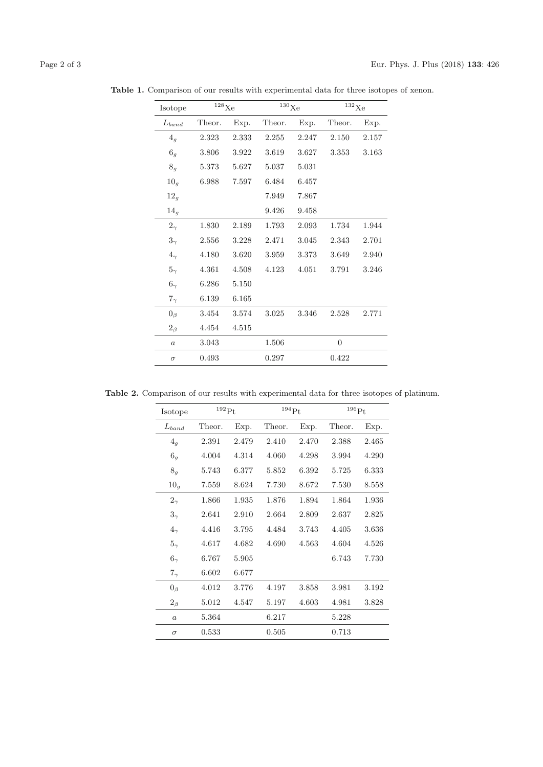| Page 2 of 3 |  |  |
|-------------|--|--|

| Isotope          | $^{128}\mathrm{Xe}$ |       | $^{130}\mathrm{Xe}$ |       | $^{132}\mathrm{Xe}$ |       |
|------------------|---------------------|-------|---------------------|-------|---------------------|-------|
| $L_{band}$       | Theor.<br>Exp.      |       | Theor.              | Exp.  |                     | Exp.  |
| 4 <sub>q</sub>   | 2.323               | 2.333 | 2.255               | 2.247 | 2.150               | 2.157 |
| $6_g\,$          | 3.806               | 3.922 | 3.619               | 3.627 | 3.353               | 3.163 |
| 8 <sub>g</sub>   | 5.373               | 5.627 | 5.037               | 5.031 |                     |       |
| 10 <sub>g</sub>  | 6.988               | 7.597 | 6.484               | 6.457 |                     |       |
| 12 <sub>g</sub>  |                     |       | 7.949               | 7.867 |                     |       |
| 14 <sub>g</sub>  |                     |       | 9.426               | 9.458 |                     |       |
| $2_{\gamma}$     | 1.830               | 2.189 | 1.793               | 2.093 | 1.734               | 1.944 |
| $3_{\gamma}$     | 2.556               | 3.228 | 2.471               | 3.045 | 2.343               | 2.701 |
| $4_{\gamma}$     | 4.180               | 3.620 | 3.959               | 3.373 | 3.649               | 2.940 |
| $5_{\gamma}$     | 4.361               | 4.508 | 4.123               | 4.051 | 3.791               | 3.246 |
| $6_{\gamma}$     | 6.286               | 5.150 |                     |       |                     |       |
| $7_{\gamma}$     | 6.139               | 6.165 |                     |       |                     |       |
| $0_{\beta}$      | 3.454               | 3.574 | 3.025               | 3.346 | 2.528               | 2.771 |
| $2_{\beta}$      | 4.454               | 4.515 |                     |       |                     |       |
| $\boldsymbol{a}$ | 3.043               |       | 1.506               |       | $\overline{0}$      |       |
| $\sigma$         | 0.493               |       | 0.297               |       | 0.422               |       |

**Table 1.** Comparison of our results with experimental data for three isotopes of xenon.

**Table 2.** Comparison of our results with experimental data for three isotopes of platinum.

| Isotope          | $^{192}\mathrm{Pt}$ |       | $^{194}$ Pt |       | $^{196}\mathrm{Pt}$ |       |
|------------------|---------------------|-------|-------------|-------|---------------------|-------|
| $L_{band}$       | Theor.              | Exp.  | Theor.      | Exp.  | Theor.              | Exp.  |
| $4_g$            | 2.391               | 2.479 | 2.410       | 2.470 | 2.388               | 2.465 |
| 6 <sub>g</sub>   | 4.004               | 4.314 | 4.060       | 4.298 | 3.994               | 4.290 |
| 8 <sub>g</sub>   | 5.743               | 6.377 | 5.852       | 6.392 | 5.725               | 6.333 |
| 10 <sub>g</sub>  | 7.559               | 8.624 | 7.730       | 8.672 | 7.530               | 8.558 |
| $2_{\gamma}$     | 1.866               | 1.935 | 1.876       | 1.894 | 1.864               | 1.936 |
| $3_{\gamma}$     | 2.641               | 2.910 | 2.664       | 2.809 | 2.637               | 2.825 |
| $4\gamma$        | 4.416               | 3.795 | 4.484       | 3.743 | 4.405               | 3.636 |
| $5_{\gamma}$     | 4.617               | 4.682 | 4.690       | 4.563 | 4.604               | 4.526 |
| $6\gamma$        | 6.767               | 5.905 |             |       | 6.743               | 7.730 |
| $7_{\gamma}$     | 6.602               | 6.677 |             |       |                     |       |
| $0_{\beta}$      | 4.012               | 3.776 | 4.197       | 3.858 | 3.981               | 3.192 |
| $2_{\beta}$      | 5.012               | 4.547 | 5.197       | 4.603 | 4.981               | 3.828 |
| $\boldsymbol{a}$ | 5.364               |       | 6.217       |       | 5.228               |       |
| $\sigma$         | 0.533               |       | 0.505       |       | 0.713               |       |